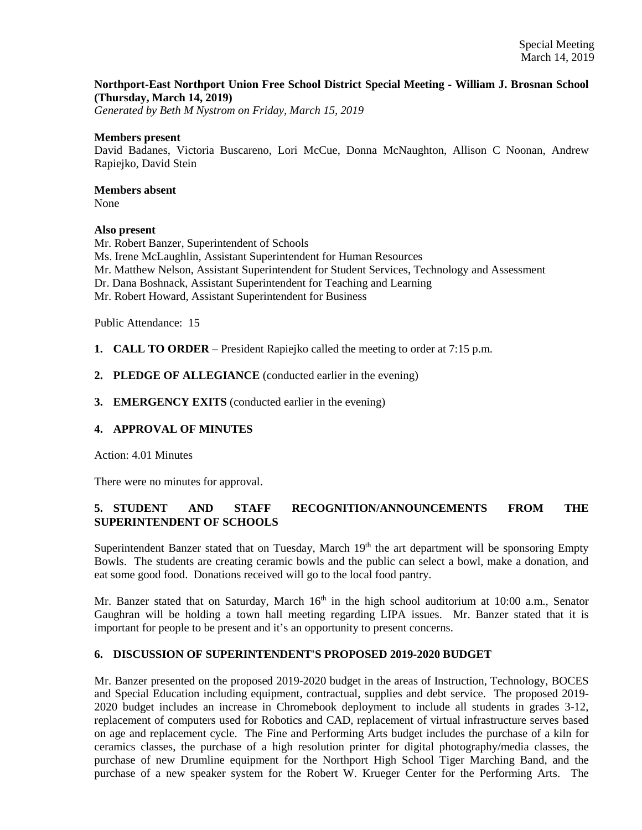## **Northport-East Northport Union Free School District Special Meeting - William J. Brosnan School (Thursday, March 14, 2019)**

*Generated by Beth M Nystrom on Friday, March 15, 2019*

#### **Members present**

David Badanes, Victoria Buscareno, Lori McCue, Donna McNaughton, Allison C Noonan, Andrew Rapiejko, David Stein

## **Members absent**

None

#### **Also present**

Mr. Robert Banzer, Superintendent of Schools Ms. Irene McLaughlin, Assistant Superintendent for Human Resources Mr. Matthew Nelson, Assistant Superintendent for Student Services, Technology and Assessment Dr. Dana Boshnack, Assistant Superintendent for Teaching and Learning Mr. Robert Howard, Assistant Superintendent for Business

Public Attendance: 15

**1. CALL TO ORDER** – President Rapiejko called the meeting to order at 7:15 p.m.

- **2. PLEDGE OF ALLEGIANCE** (conducted earlier in the evening)
- **3. EMERGENCY EXITS** (conducted earlier in the evening)

## **4. APPROVAL OF MINUTES**

Action: 4.01 Minutes

There were no minutes for approval.

# **5. STUDENT AND STAFF RECOGNITION/ANNOUNCEMENTS FROM THE SUPERINTENDENT OF SCHOOLS**

Superintendent Banzer stated that on Tuesday, March 19<sup>th</sup> the art department will be sponsoring Empty Bowls. The students are creating ceramic bowls and the public can select a bowl, make a donation, and eat some good food. Donations received will go to the local food pantry.

Mr. Banzer stated that on Saturday, March 16<sup>th</sup> in the high school auditorium at 10:00 a.m., Senator Gaughran will be holding a town hall meeting regarding LIPA issues. Mr. Banzer stated that it is important for people to be present and it's an opportunity to present concerns.

## **6. DISCUSSION OF SUPERINTENDENT'S PROPOSED 2019-2020 BUDGET**

Mr. Banzer presented on the proposed 2019-2020 budget in the areas of Instruction, Technology, BOCES and Special Education including equipment, contractual, supplies and debt service. The proposed 2019- 2020 budget includes an increase in Chromebook deployment to include all students in grades 3-12, replacement of computers used for Robotics and CAD, replacement of virtual infrastructure serves based on age and replacement cycle. The Fine and Performing Arts budget includes the purchase of a kiln for ceramics classes, the purchase of a high resolution printer for digital photography/media classes, the purchase of new Drumline equipment for the Northport High School Tiger Marching Band, and the purchase of a new speaker system for the Robert W. Krueger Center for the Performing Arts. The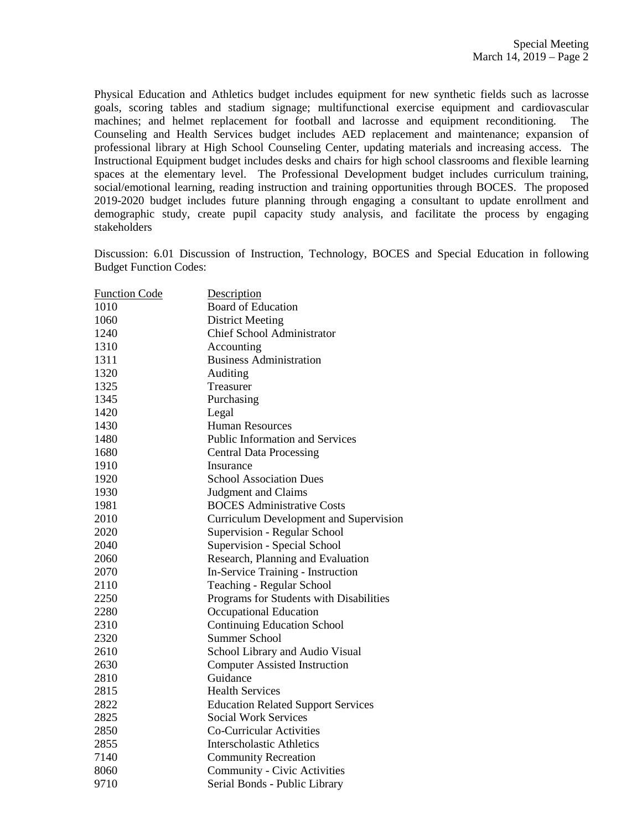Physical Education and Athletics budget includes equipment for new synthetic fields such as lacrosse goals, scoring tables and stadium signage; multifunctional exercise equipment and cardiovascular machines; and helmet replacement for football and lacrosse and equipment reconditioning. The Counseling and Health Services budget includes AED replacement and maintenance; expansion of professional library at High School Counseling Center, updating materials and increasing access. The Instructional Equipment budget includes desks and chairs for high school classrooms and flexible learning spaces at the elementary level. The Professional Development budget includes curriculum training, social/emotional learning, reading instruction and training opportunities through BOCES. The proposed 2019-2020 budget includes future planning through engaging a consultant to update enrollment and demographic study, create pupil capacity study analysis, and facilitate the process by engaging stakeholders

Discussion: 6.01 Discussion of Instruction, Technology, BOCES and Special Education in following Budget Function Codes:

| <b>Function Code</b> | Description                               |
|----------------------|-------------------------------------------|
| 1010                 | <b>Board of Education</b>                 |
| 1060                 | <b>District Meeting</b>                   |
| 1240                 | <b>Chief School Administrator</b>         |
| 1310                 | Accounting                                |
| 1311                 | <b>Business Administration</b>            |
| 1320                 | Auditing                                  |
| 1325                 | Treasurer                                 |
| 1345                 | Purchasing                                |
| 1420                 | Legal                                     |
| 1430                 | <b>Human Resources</b>                    |
| 1480                 | <b>Public Information and Services</b>    |
| 1680                 | <b>Central Data Processing</b>            |
| 1910                 | Insurance                                 |
| 1920                 | <b>School Association Dues</b>            |
| 1930                 | <b>Judgment and Claims</b>                |
| 1981                 | <b>BOCES</b> Administrative Costs         |
| 2010                 | Curriculum Development and Supervision    |
| 2020                 | Supervision - Regular School              |
| 2040                 | Supervision - Special School              |
| 2060                 | Research, Planning and Evaluation         |
| 2070                 | In-Service Training - Instruction         |
| 2110                 | Teaching - Regular School                 |
| 2250                 | Programs for Students with Disabilities   |
| 2280                 | Occupational Education                    |
| 2310                 | <b>Continuing Education School</b>        |
| 2320                 | <b>Summer School</b>                      |
| 2610                 | School Library and Audio Visual           |
| 2630                 | <b>Computer Assisted Instruction</b>      |
| 2810                 | Guidance                                  |
| 2815                 | <b>Health Services</b>                    |
| 2822                 | <b>Education Related Support Services</b> |
| 2825                 | <b>Social Work Services</b>               |
| 2850                 | Co-Curricular Activities                  |
| 2855                 | <b>Interscholastic Athletics</b>          |
| 7140                 | <b>Community Recreation</b>               |
| 8060                 | <b>Community - Civic Activities</b>       |
| 9710                 | Serial Bonds - Public Library             |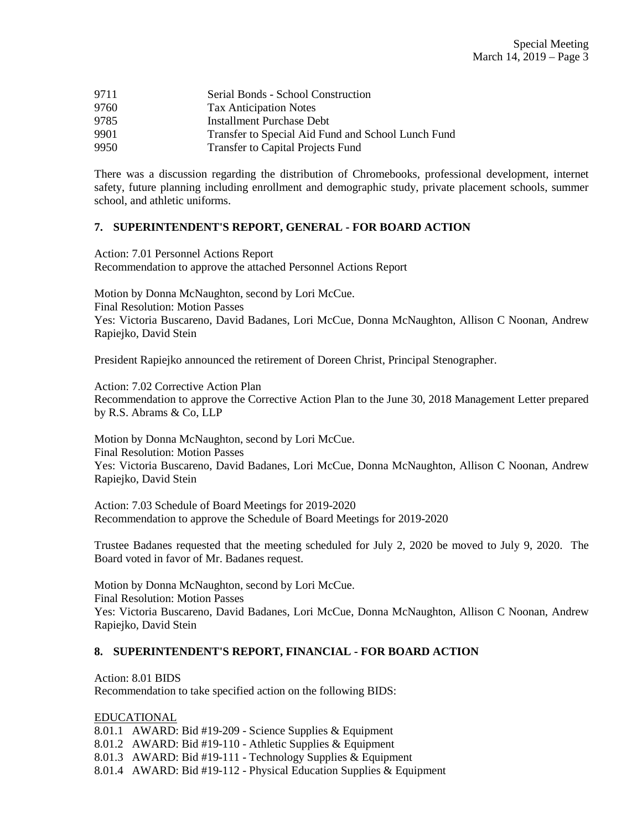| 9711 | Serial Bonds - School Construction                 |
|------|----------------------------------------------------|
| 9760 | <b>Tax Anticipation Notes</b>                      |
| 9785 | Installment Purchase Debt                          |
| 9901 | Transfer to Special Aid Fund and School Lunch Fund |
| 9950 | <b>Transfer to Capital Projects Fund</b>           |

There was a discussion regarding the distribution of Chromebooks, professional development, internet safety, future planning including enrollment and demographic study, private placement schools, summer school, and athletic uniforms.

# **7. SUPERINTENDENT'S REPORT, GENERAL - FOR BOARD ACTION**

Action: 7.01 Personnel Actions Report Recommendation to approve the attached Personnel Actions Report

Motion by Donna McNaughton, second by Lori McCue. Final Resolution: Motion Passes Yes: Victoria Buscareno, David Badanes, Lori McCue, Donna McNaughton, Allison C Noonan, Andrew Rapiejko, David Stein

President Rapiejko announced the retirement of Doreen Christ, Principal Stenographer.

Action: 7.02 Corrective Action Plan Recommendation to approve the Corrective Action Plan to the June 30, 2018 Management Letter prepared by R.S. Abrams & Co, LLP

Motion by Donna McNaughton, second by Lori McCue. Final Resolution: Motion Passes Yes: Victoria Buscareno, David Badanes, Lori McCue, Donna McNaughton, Allison C Noonan, Andrew Rapiejko, David Stein

Action: 7.03 Schedule of Board Meetings for 2019-2020 Recommendation to approve the Schedule of Board Meetings for 2019-2020

Trustee Badanes requested that the meeting scheduled for July 2, 2020 be moved to July 9, 2020. The Board voted in favor of Mr. Badanes request.

Motion by Donna McNaughton, second by Lori McCue. Final Resolution: Motion Passes Yes: Victoria Buscareno, David Badanes, Lori McCue, Donna McNaughton, Allison C Noonan, Andrew Rapiejko, David Stein

# **8. SUPERINTENDENT'S REPORT, FINANCIAL - FOR BOARD ACTION**

Action: 8.01 BIDS Recommendation to take specified action on the following BIDS:

EDUCATIONAL

8.01.1 AWARD: Bid #19-209 - Science Supplies & Equipment

8.01.2 AWARD: Bid #19-110 - Athletic Supplies & Equipment

8.01.3 AWARD: Bid #19-111 - Technology Supplies & Equipment

8.01.4 AWARD: Bid #19-112 - Physical Education Supplies & Equipment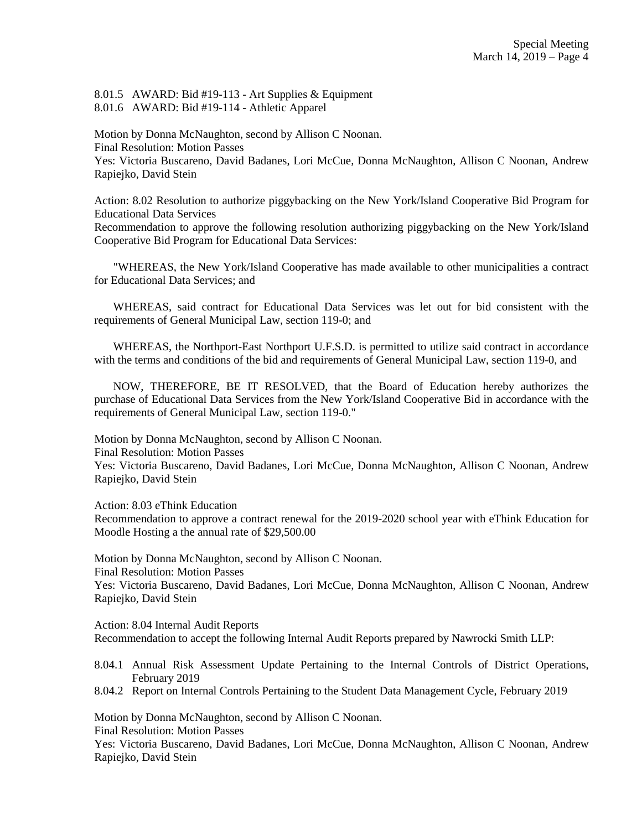8.01.5 AWARD: Bid #19-113 - Art Supplies & Equipment 8.01.6 AWARD: Bid #19-114 - Athletic Apparel

Motion by Donna McNaughton, second by Allison C Noonan. Final Resolution: Motion Passes Yes: Victoria Buscareno, David Badanes, Lori McCue, Donna McNaughton, Allison C Noonan, Andrew Rapiejko, David Stein

Action: 8.02 Resolution to authorize piggybacking on the New York/Island Cooperative Bid Program for Educational Data Services

Recommendation to approve the following resolution authorizing piggybacking on the New York/Island Cooperative Bid Program for Educational Data Services:

"WHEREAS, the New York/Island Cooperative has made available to other municipalities a contract for Educational Data Services; and

WHEREAS, said contract for Educational Data Services was let out for bid consistent with the requirements of General Municipal Law, section 119-0; and

WHEREAS, the Northport-East Northport U.F.S.D. is permitted to utilize said contract in accordance with the terms and conditions of the bid and requirements of General Municipal Law, section 119-0, and

NOW, THEREFORE, BE IT RESOLVED, that the Board of Education hereby authorizes the purchase of Educational Data Services from the New York/Island Cooperative Bid in accordance with the requirements of General Municipal Law, section 119-0."

Motion by Donna McNaughton, second by Allison C Noonan. Final Resolution: Motion Passes Yes: Victoria Buscareno, David Badanes, Lori McCue, Donna McNaughton, Allison C Noonan, Andrew Rapiejko, David Stein

Action: 8.03 eThink Education

Recommendation to approve a contract renewal for the 2019-2020 school year with eThink Education for Moodle Hosting a the annual rate of \$29,500.00

Motion by Donna McNaughton, second by Allison C Noonan. Final Resolution: Motion Passes Yes: Victoria Buscareno, David Badanes, Lori McCue, Donna McNaughton, Allison C Noonan, Andrew Rapiejko, David Stein

Action: 8.04 Internal Audit Reports Recommendation to accept the following Internal Audit Reports prepared by Nawrocki Smith LLP:

- 8.04.1 Annual Risk Assessment Update Pertaining to the Internal Controls of District Operations, February 2019
- 8.04.2 Report on Internal Controls Pertaining to the Student Data Management Cycle, February 2019

Motion by Donna McNaughton, second by Allison C Noonan.

Final Resolution: Motion Passes

Yes: Victoria Buscareno, David Badanes, Lori McCue, Donna McNaughton, Allison C Noonan, Andrew Rapiejko, David Stein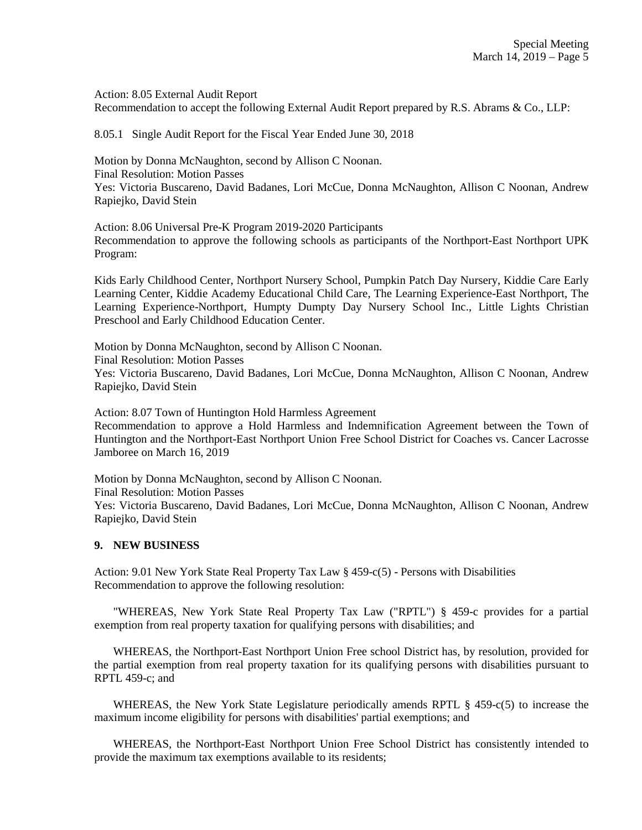Action: 8.05 External Audit Report

Recommendation to accept the following External Audit Report prepared by R.S. Abrams & Co., LLP:

8.05.1 Single Audit Report for the Fiscal Year Ended June 30, 2018

Motion by Donna McNaughton, second by Allison C Noonan. Final Resolution: Motion Passes Yes: Victoria Buscareno, David Badanes, Lori McCue, Donna McNaughton, Allison C Noonan, Andrew Rapiejko, David Stein

Action: 8.06 Universal Pre-K Program 2019-2020 Participants Recommendation to approve the following schools as participants of the Northport-East Northport UPK Program:

Kids Early Childhood Center, Northport Nursery School, Pumpkin Patch Day Nursery, Kiddie Care Early Learning Center, Kiddie Academy Educational Child Care, The Learning Experience-East Northport, The Learning Experience-Northport, Humpty Dumpty Day Nursery School Inc., Little Lights Christian Preschool and Early Childhood Education Center.

Motion by Donna McNaughton, second by Allison C Noonan.

Final Resolution: Motion Passes

Yes: Victoria Buscareno, David Badanes, Lori McCue, Donna McNaughton, Allison C Noonan, Andrew Rapiejko, David Stein

Action: 8.07 Town of Huntington Hold Harmless Agreement

Recommendation to approve a Hold Harmless and Indemnification Agreement between the Town of Huntington and the Northport-East Northport Union Free School District for Coaches vs. Cancer Lacrosse Jamboree on March 16, 2019

Motion by Donna McNaughton, second by Allison C Noonan.

Final Resolution: Motion Passes

Yes: Victoria Buscareno, David Badanes, Lori McCue, Donna McNaughton, Allison C Noonan, Andrew Rapiejko, David Stein

## **9. NEW BUSINESS**

Action: 9.01 New York State Real Property Tax Law § 459-c(5) - Persons with Disabilities Recommendation to approve the following resolution:

 "WHEREAS, New York State Real Property Tax Law ("RPTL") § 459-c provides for a partial exemption from real property taxation for qualifying persons with disabilities; and

 WHEREAS, the Northport-East Northport Union Free school District has, by resolution, provided for the partial exemption from real property taxation for its qualifying persons with disabilities pursuant to RPTL 459-c; and

WHEREAS, the New York State Legislature periodically amends RPTL § 459-c(5) to increase the maximum income eligibility for persons with disabilities' partial exemptions; and

 WHEREAS, the Northport-East Northport Union Free School District has consistently intended to provide the maximum tax exemptions available to its residents;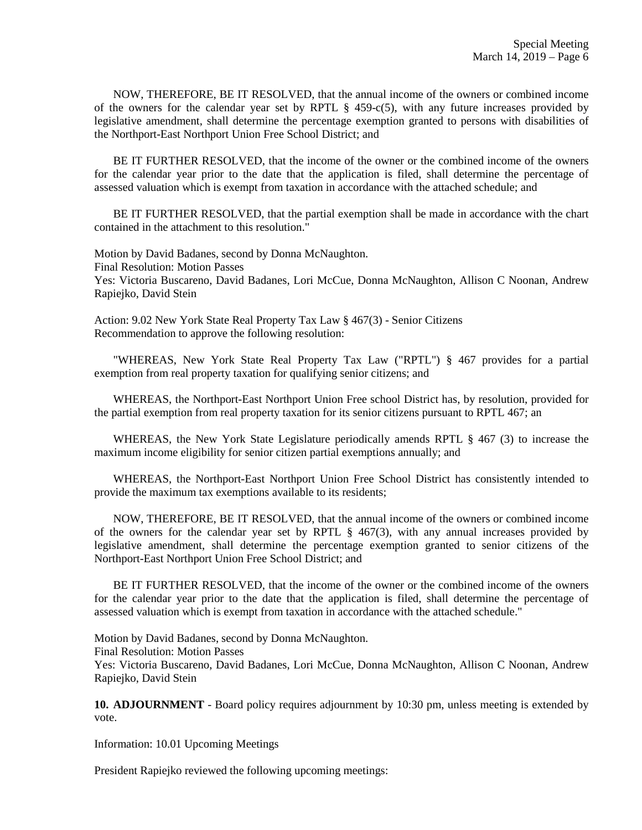NOW, THEREFORE, BE IT RESOLVED, that the annual income of the owners or combined income of the owners for the calendar year set by RPTL  $\S$  459-c(5), with any future increases provided by legislative amendment, shall determine the percentage exemption granted to persons with disabilities of the Northport-East Northport Union Free School District; and

 BE IT FURTHER RESOLVED, that the income of the owner or the combined income of the owners for the calendar year prior to the date that the application is filed, shall determine the percentage of assessed valuation which is exempt from taxation in accordance with the attached schedule; and

 BE IT FURTHER RESOLVED, that the partial exemption shall be made in accordance with the chart contained in the attachment to this resolution."

Motion by David Badanes, second by Donna McNaughton. Final Resolution: Motion Passes Yes: Victoria Buscareno, David Badanes, Lori McCue, Donna McNaughton, Allison C Noonan, Andrew Rapiejko, David Stein

Action: 9.02 New York State Real Property Tax Law § 467(3) - Senior Citizens Recommendation to approve the following resolution:

 "WHEREAS, New York State Real Property Tax Law ("RPTL") § 467 provides for a partial exemption from real property taxation for qualifying senior citizens; and

 WHEREAS, the Northport-East Northport Union Free school District has, by resolution, provided for the partial exemption from real property taxation for its senior citizens pursuant to RPTL 467; an

 WHEREAS, the New York State Legislature periodically amends RPTL § 467 (3) to increase the maximum income eligibility for senior citizen partial exemptions annually; and

 WHEREAS, the Northport-East Northport Union Free School District has consistently intended to provide the maximum tax exemptions available to its residents;

 NOW, THEREFORE, BE IT RESOLVED, that the annual income of the owners or combined income of the owners for the calendar year set by RPTL  $\S$  467(3), with any annual increases provided by legislative amendment, shall determine the percentage exemption granted to senior citizens of the Northport-East Northport Union Free School District; and

 BE IT FURTHER RESOLVED, that the income of the owner or the combined income of the owners for the calendar year prior to the date that the application is filed, shall determine the percentage of assessed valuation which is exempt from taxation in accordance with the attached schedule."

Motion by David Badanes, second by Donna McNaughton. Final Resolution: Motion Passes Yes: Victoria Buscareno, David Badanes, Lori McCue, Donna McNaughton, Allison C Noonan, Andrew Rapiejko, David Stein

**10. ADJOURNMENT** - Board policy requires adjournment by 10:30 pm, unless meeting is extended by vote.

Information: 10.01 Upcoming Meetings

President Rapiejko reviewed the following upcoming meetings: